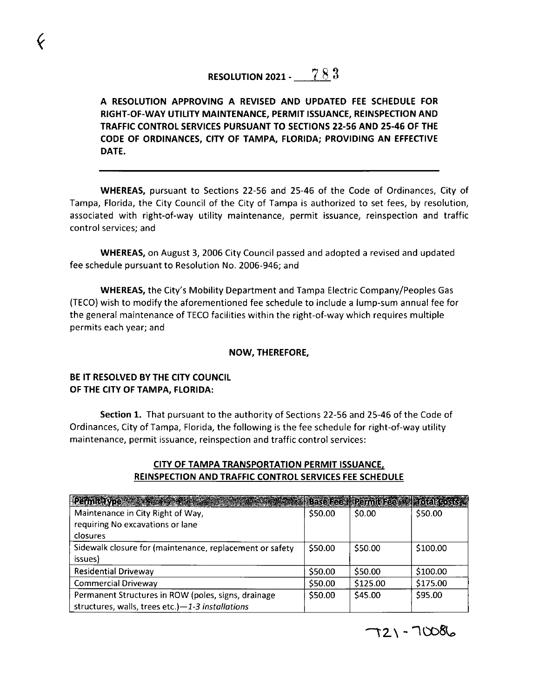# RESOLUTION 2021 -  $\sqrt{8.3}$

# A RESOLUTION APPROVING A REVISED AND UPDATED FEE SCHEDULE FOR RIGHT-OF-WAY UTILITY MAINTENANCE, PERMIT ISSUANCE, REINSPECTION AND TRAFFIC CONTROL SERVICES PURSUANT TO SECTIONS 22-56 AND 25-46 0F THE CODE OF ORDINANCES, CITY OF TAMPA, FLORIDA; PROVIDING AN EFFECTIVE DATE.

associated with right-of-way utility maintenance, permit issuance, reinspection and traffic WHEREAS, pursuant to Sections 22-56 and 25-46 of the Code of Ordinances, City of Tampa, Florida, the City Council of the City of Tampa is authorized to set fees, by resolution, control services; and

WHEREAS, on August 3, 2006 City Council passed and adopted a revised and updated fee schedule pursuant to Resolution No. 2006-946; and

WHEREAS, the City's Mobility Department and Tampa Electric Company/Peoples Gas (TECO) wish to modify the aforementioned fee schedule to include a lump-sum annual fee for the general maintenance of TECO facilities within the right-of-way which requires multiple permits each year; and

#### NOW, THEREFORE,

### BE IT RESOLVED BY THE CITY COUNCIL OF THE CITY OF TAMPA, FLORIDA:

 $\pmb{\zeta}$ 

Section 1. That pursuant to the authority of Sections 22-56 and 25-46 of the Code of Ordinances, City of Tampa, Florida, the following is the fee schedule for right-of-way utility maintenance, permit issuance, reinspection and traffic control services:

## ciTy OF TAMPA TRANsroRTATioN pERMiT issuANCE. REINSPECTION AND TRAFFIC CONTROL SERVICES FEE SCHEDULE

| Permit Type <b>Communication</b>                         |         | Base Fee Permit Fee Mail Total Costs |          |
|----------------------------------------------------------|---------|--------------------------------------|----------|
| Maintenance in City Right of Way,                        | \$50.00 | \$0.00                               | \$50.00  |
| requiring No excavations or lane                         |         |                                      |          |
| closures                                                 |         |                                      |          |
| Sidewalk closure for (maintenance, replacement or safety | \$50.00 | \$50.00                              | \$100.00 |
| issues)                                                  |         |                                      |          |
| <b>Residential Driveway</b>                              | \$50.00 | \$50.00                              | \$100.00 |
| <b>Commercial Driveway</b>                               | \$50.00 | \$125.00                             | \$175.00 |
| Permanent Structures in ROW (poles, signs, drainage      | \$50.00 | \$45.00                              | \$95.00  |
| structures, walls, trees etc.) $-1$ -3 installations     |         |                                      |          |

 $721 - 70086$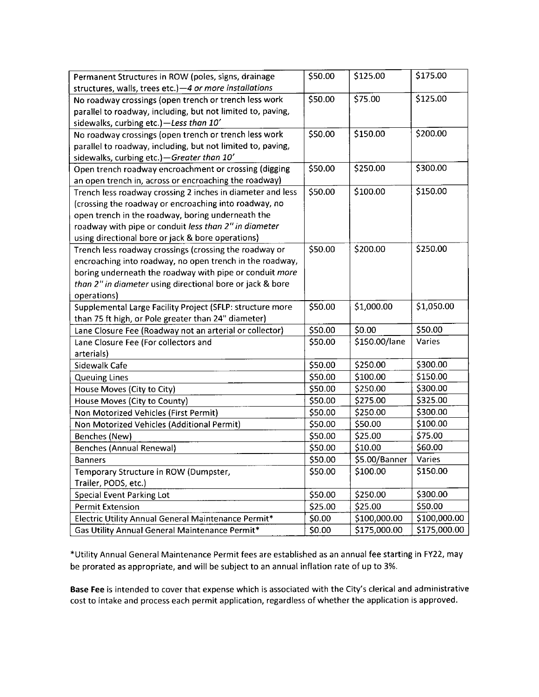| Permanent Structures in ROW (poles, signs, drainage         | \$50.00 | \$125.00      | \$175.00     |
|-------------------------------------------------------------|---------|---------------|--------------|
| structures, walls, trees etc.) -4 or more installations     |         |               |              |
| No roadway crossings (open trench or trench less work       | \$50.00 | \$75.00       | \$125.00     |
| parallel to roadway, including, but not limited to, paving, |         |               |              |
| sidewalks, curbing etc.)-Less than 10'                      |         |               |              |
| No roadway crossings (open trench or trench less work       | \$50.00 | \$150.00      | \$200.00     |
| parallel to roadway, including, but not limited to, paving, |         |               |              |
| sidewalks, curbing etc.) - Greater than 10'                 |         |               |              |
| Open trench roadway encroachment or crossing (digging       | \$50.00 | \$250.00      | \$300.00     |
| an open trench in, across or encroaching the roadway)       |         |               |              |
| Trench less roadway crossing 2 inches in diameter and less  | \$50.00 | \$100.00      | \$150.00     |
| (crossing the roadway or encroaching into roadway, no       |         |               |              |
| open trench in the roadway, boring underneath the           |         |               |              |
| roadway with pipe or conduit less than 2" in diameter       |         |               |              |
| using directional bore or jack & bore operations)           |         |               |              |
| Trench less roadway crossings (crossing the roadway or      | \$50.00 | \$200.00      | \$250.00     |
| encroaching into roadway, no open trench in the roadway,    |         |               |              |
| boring underneath the roadway with pipe or conduit more     |         |               |              |
| than 2" in diameter using directional bore or jack & bore   |         |               |              |
| operations)                                                 |         |               |              |
| Supplemental Large Facility Project (SFLP: structure more   | \$50.00 | \$1,000.00    | \$1,050.00   |
| than 75 ft high, or Pole greater than 24" diameter)         |         |               |              |
| Lane Closure Fee (Roadway not an arterial or collector)     | \$50.00 | \$0.00        | \$50.00      |
| Lane Closure Fee (For collectors and                        | \$50.00 | \$150.00/lane | Varies       |
| arterials)                                                  |         |               |              |
| Sidewalk Cafe                                               | \$50.00 | \$250.00      | \$300.00     |
| <b>Queuing Lines</b>                                        | \$50.00 | \$100.00      | \$150.00     |
| House Moves (City to City)                                  | \$50.00 | \$250.00      | \$300.00     |
| House Moves (City to County)                                | \$50.00 | \$275.00      | \$325.00     |
| Non Motorized Vehicles (First Permit)                       | \$50.00 | \$250.00      | \$300.00     |
| Non Motorized Vehicles (Additional Permit)                  | \$50.00 | \$50.00       | \$100.00     |
| Benches (New)                                               | \$50.00 | \$25.00       | \$75.00      |
| <b>Benches (Annual Renewal)</b>                             | \$50.00 | \$10.00       | \$60.00      |
| <b>Banners</b>                                              | \$50.00 | \$5.00/Banner | Varies       |
| Temporary Structure in ROW (Dumpster,                       | \$50.00 | \$100.00      | \$150.00     |
| Trailer, PODS, etc.)                                        |         |               |              |
| <b>Special Event Parking Lot</b>                            | \$50.00 | \$250.00      | \$300.00     |
| <b>Permit Extension</b>                                     | \$25.00 | \$25.00       | \$50.00      |
| Electric Utility Annual General Maintenance Permit*         | \$0.00  | \$100,000.00  | \$100,000.00 |
| Gas Utility Annual General Maintenance Permit*              | \$0.00  | \$175,000.00  | \$175,000.00 |

\*Utility Annual General Maintenance Permit fees are established as an annual fee starting in FY22, may be prorated as appropriate, and will be subject to an annual inflation rate of up to 3%.

Base Fee is intended to cover that expense which is associated with the City's clerical and administrative cost to intake and process each permit application, regardless of whether the application is approved.